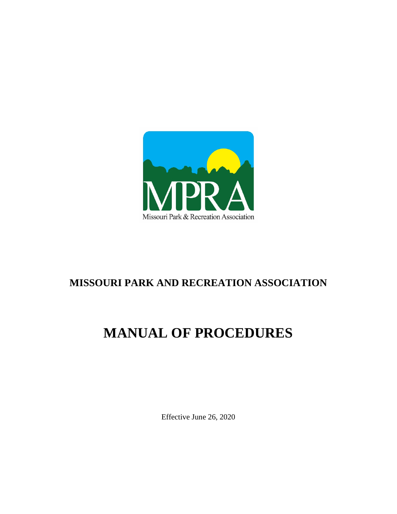

# **MISSOURI PARK AND RECREATION ASSOCIATION**

# **MANUAL OF PROCEDURES**

Effective June 26, 2020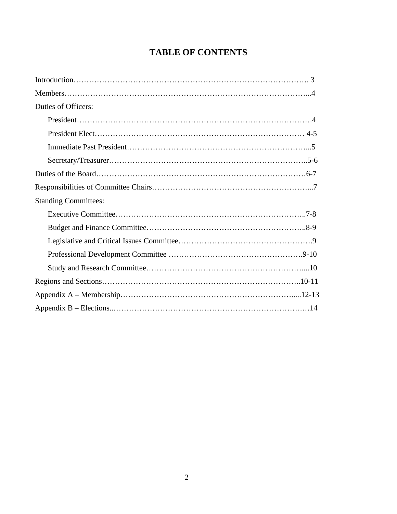# **TABLE OF CONTENTS**

| Duties of Officers:         |  |
|-----------------------------|--|
|                             |  |
|                             |  |
|                             |  |
|                             |  |
|                             |  |
|                             |  |
| <b>Standing Committees:</b> |  |
|                             |  |
|                             |  |
|                             |  |
|                             |  |
|                             |  |
|                             |  |
|                             |  |
|                             |  |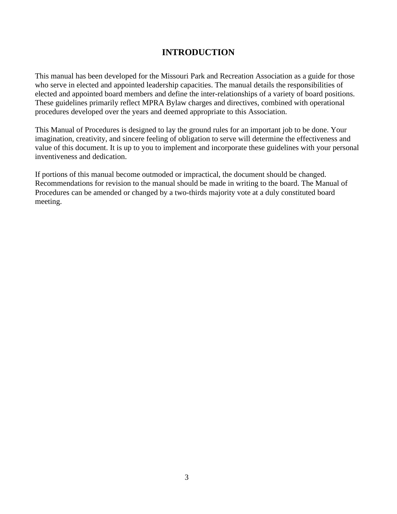# **INTRODUCTION**

This manual has been developed for the Missouri Park and Recreation Association as a guide for those who serve in elected and appointed leadership capacities. The manual details the responsibilities of elected and appointed board members and define the inter-relationships of a variety of board positions. These guidelines primarily reflect MPRA Bylaw charges and directives, combined with operational procedures developed over the years and deemed appropriate to this Association.

This Manual of Procedures is designed to lay the ground rules for an important job to be done. Your imagination, creativity, and sincere feeling of obligation to serve will determine the effectiveness and value of this document. It is up to you to implement and incorporate these guidelines with your personal inventiveness and dedication.

If portions of this manual become outmoded or impractical, the document should be changed. Recommendations for revision to the manual should be made in writing to the board. The Manual of Procedures can be amended or changed by a two-thirds majority vote at a duly constituted board meeting.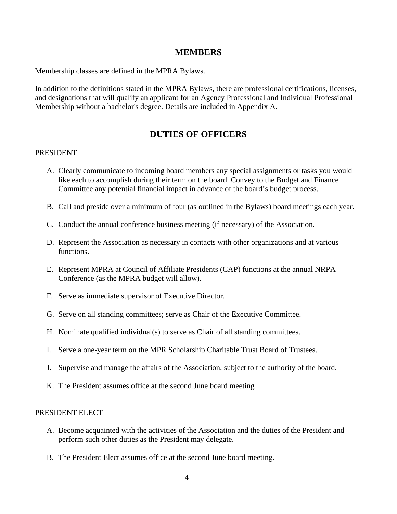#### **MEMBERS**

Membership classes are defined in the MPRA Bylaws.

In addition to the definitions stated in the MPRA Bylaws, there are professional certifications, licenses, and designations that will qualify an applicant for an Agency Professional and Individual Professional Membership without a bachelor's degree. Details are included in Appendix A.

### **DUTIES OF OFFICERS**

#### PRESIDENT

- A. Clearly communicate to incoming board members any special assignments or tasks you would like each to accomplish during their term on the board. Convey to the Budget and Finance Committee any potential financial impact in advance of the board's budget process.
- B. Call and preside over a minimum of four (as outlined in the Bylaws) board meetings each year.
- C. Conduct the annual conference business meeting (if necessary) of the Association.
- D. Represent the Association as necessary in contacts with other organizations and at various functions.
- E. Represent MPRA at Council of Affiliate Presidents (CAP) functions at the annual NRPA Conference (as the MPRA budget will allow).
- F. Serve as immediate supervisor of Executive Director.
- G. Serve on all standing committees; serve as Chair of the Executive Committee.
- H. Nominate qualified individual(s) to serve as Chair of all standing committees.
- I. Serve a one-year term on the MPR Scholarship Charitable Trust Board of Trustees.
- J. Supervise and manage the affairs of the Association, subject to the authority of the board.
- K. The President assumes office at the second June board meeting

#### PRESIDENT ELECT

- A. Become acquainted with the activities of the Association and the duties of the President and perform such other duties as the President may delegate.
- B. The President Elect assumes office at the second June board meeting.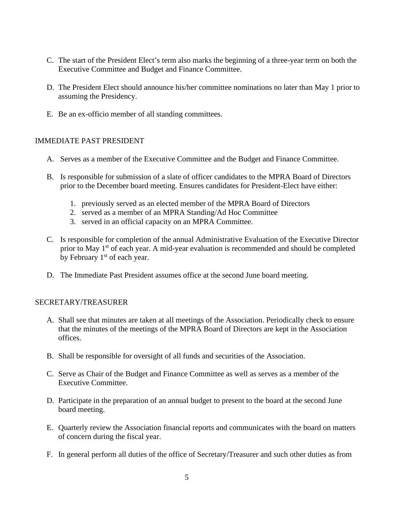- C. The start of the President Elect's term also marks the beginning of a three-year term on both the Executive Committee and Budget and Finance Committee.
- D. The President Elect should announce his/her committee nominations no later than May 1 prior to assuming the Presidency.
- E. Be an ex-officio member of all standing committees.

#### IMMEDIATE PAST PRESIDENT

- A. Serves as a member of the Executive Committee and the Budget and Finance Committee.
- B. Is responsible for submission of a slate of officer candidates to the MPRA Board of Directors prior to the December board meeting. Ensures candidates for President-Elect have either:
	- 1. previously served as an elected member of the MPRA Board of Directors
	- 2. served as a member of an MPRA Standing/Ad Hoc Committee
	- 3. served in an official capacity on an MPRA Committee.
- C. Is responsible for completion of the annual Administrative Evaluation of the Executive Director prior to May 1<sup>st</sup> of each year. A mid-year evaluation is recommended and should be completed by February  $1<sup>st</sup>$  of each year.
- D. The Immediate Past President assumes office at the second June board meeting.

#### SECRETARY/TREASURER

- A. Shall see that minutes are taken at all meetings of the Association. Periodically check to ensure that the minutes of the meetings of the MPRA Board of Directors are kept in the Association offices.
- B. Shall be responsible for oversight of all funds and securities of the Association.
- C. Serve as Chair of the Budget and Finance Committee as well as serves as a member of the Executive Committee.
- D. Participate in the preparation of an annual budget to present to the board at the second June board meeting.
- E. Quarterly review the Association financial reports and communicates with the board on matters of concern during the fiscal year.
- F. In general perform all duties of the office of Secretary/Treasurer and such other duties as from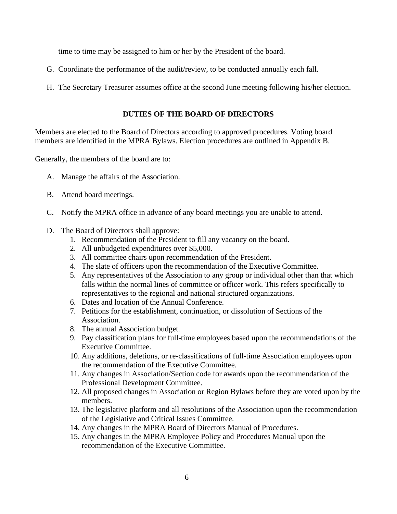time to time may be assigned to him or her by the President of the board.

- G. Coordinate the performance of the audit/review, to be conducted annually each fall.
- H. The Secretary Treasurer assumes office at the second June meeting following his/her election.

#### **DUTIES OF THE BOARD OF DIRECTORS**

Members are elected to the Board of Directors according to approved procedures. Voting board members are identified in the MPRA Bylaws. Election procedures are outlined in Appendix B.

Generally, the members of the board are to:

- A. Manage the affairs of the Association.
- B. Attend board meetings.
- C. Notify the MPRA office in advance of any board meetings you are unable to attend.
- D. The Board of Directors shall approve:
	- 1. Recommendation of the President to fill any vacancy on the board.
	- 2. All unbudgeted expenditures over \$5,000.
	- 3. All committee chairs upon recommendation of the President.
	- 4. The slate of officers upon the recommendation of the Executive Committee.
	- 5. Any representatives of the Association to any group or individual other than that which falls within the normal lines of committee or officer work. This refers specifically to representatives to the regional and national structured organizations.
	- 6. Dates and location of the Annual Conference.
	- 7. Petitions for the establishment, continuation, or dissolution of Sections of the Association.
	- 8. The annual Association budget.
	- 9. Pay classification plans for full-time employees based upon the recommendations of the Executive Committee.
	- 10. Any additions, deletions, or re-classifications of full-time Association employees upon the recommendation of the Executive Committee.
	- 11. Any changes in Association/Section code for awards upon the recommendation of the Professional Development Committee.
	- 12. All proposed changes in Association or Region Bylaws before they are voted upon by the members.
	- 13. The legislative platform and all resolutions of the Association upon the recommendation of the Legislative and Critical Issues Committee.
	- 14. Any changes in the MPRA Board of Directors Manual of Procedures.
	- 15. Any changes in the MPRA Employee Policy and Procedures Manual upon the recommendation of the Executive Committee.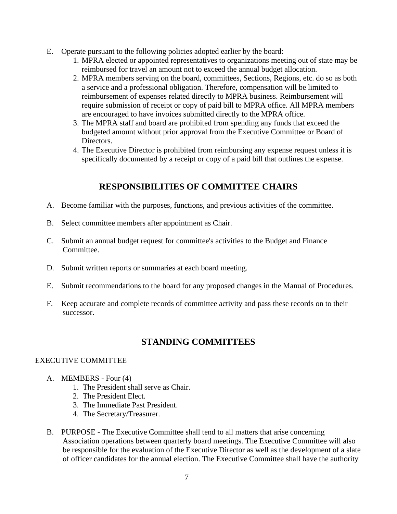- E. Operate pursuant to the following policies adopted earlier by the board:
	- 1. MPRA elected or appointed representatives to organizations meeting out of state may be reimbursed for travel an amount not to exceed the annual budget allocation.
	- 2. MPRA members serving on the board, committees, Sections, Regions, etc. do so as both a service and a professional obligation. Therefore, compensation will be limited to reimbursement of expenses related directly to MPRA business. Reimbursement will require submission of receipt or copy of paid bill to MPRA office. All MPRA members are encouraged to have invoices submitted directly to the MPRA office.
	- 3. The MPRA staff and board are prohibited from spending any funds that exceed the budgeted amount without prior approval from the Executive Committee or Board of Directors.
	- 4. The Executive Director is prohibited from reimbursing any expense request unless it is specifically documented by a receipt or copy of a paid bill that outlines the expense.

# **RESPONSIBILITIES OF COMMITTEE CHAIRS**

- A. Become familiar with the purposes, functions, and previous activities of the committee.
- B. Select committee members after appointment as Chair.
- C. Submit an annual budget request for committee's activities to the Budget and Finance Committee.
- D. Submit written reports or summaries at each board meeting.
- E. Submit recommendations to the board for any proposed changes in the Manual of Procedures.
- F. Keep accurate and complete records of committee activity and pass these records on to their successor.

# **STANDING COMMITTEES**

#### EXECUTIVE COMMITTEE

- A. MEMBERS Four (4)
	- 1. The President shall serve as Chair.
	- 2. The President Elect.
	- 3. The Immediate Past President.
	- 4. The Secretary/Treasurer.
- B. PURPOSE The Executive Committee shall tend to all matters that arise concerning Association operations between quarterly board meetings. The Executive Committee will also be responsible for the evaluation of the Executive Director as well as the development of a slate of officer candidates for the annual election. The Executive Committee shall have the authority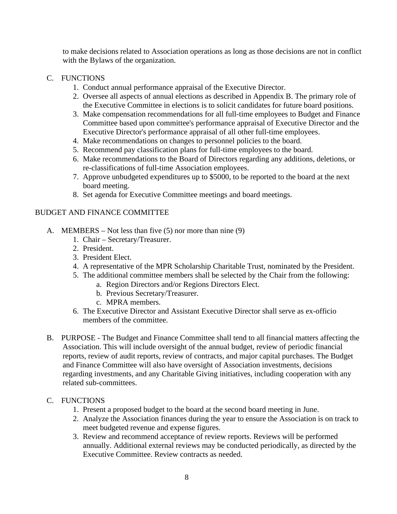to make decisions related to Association operations as long as those decisions are not in conflict with the Bylaws of the organization.

#### C. FUNCTIONS

- 1. Conduct annual performance appraisal of the Executive Director.
- 2. Oversee all aspects of annual elections as described in Appendix B. The primary role of the Executive Committee in elections is to solicit candidates for future board positions.
- 3. Make compensation recommendations for all full-time employees to Budget and Finance Committee based upon committee's performance appraisal of Executive Director and the Executive Director's performance appraisal of all other full-time employees.
- 4. Make recommendations on changes to personnel policies to the board.
- 5. Recommend pay classification plans for full-time employees to the board.
- 6. Make recommendations to the Board of Directors regarding any additions, deletions, or re-classifications of full-time Association employees.
- 7. Approve unbudgeted expenditures up to \$5000, to be reported to the board at the next board meeting.
- 8. Set agenda for Executive Committee meetings and board meetings.

#### BUDGET AND FINANCE COMMITTEE

- A. MEMBERS Not less than five (5) nor more than nine (9)
	- 1. Chair Secretary/Treasurer.
	- 2. President.
	- 3. President Elect.
	- 4. A representative of the MPR Scholarship Charitable Trust, nominated by the President.
	- 5. The additional committee members shall be selected by the Chair from the following:
		- a. Region Directors and/or Regions Directors Elect.
		- b. Previous Secretary/Treasurer.
		- c. MPRA members.
	- 6. The Executive Director and Assistant Executive Director shall serve as ex-officio members of the committee.
- B. PURPOSE The Budget and Finance Committee shall tend to all financial matters affecting the Association. This will include oversight of the annual budget, review of periodic financial reports, review of audit reports, review of contracts, and major capital purchases. The Budget and Finance Committee will also have oversight of Association investments, decisions regarding investments, and any Charitable Giving initiatives, including cooperation with any related sub-committees.

#### C. FUNCTIONS

- 1. Present a proposed budget to the board at the second board meeting in June.
- 2. Analyze the Association finances during the year to ensure the Association is on track to meet budgeted revenue and expense figures.
- 3. Review and recommend acceptance of review reports. Reviews will be performed annually. Additional external reviews may be conducted periodically, as directed by the Executive Committee. Review contracts as needed.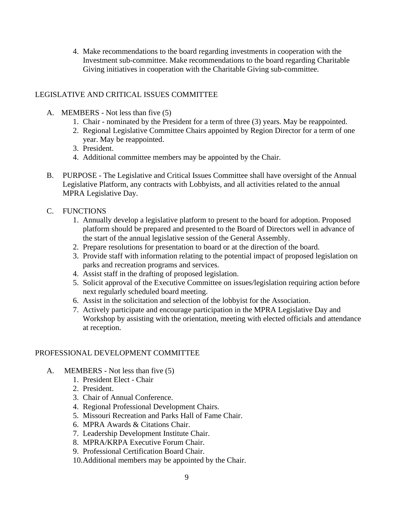4. Make recommendations to the board regarding investments in cooperation with the Investment sub-committee. Make recommendations to the board regarding Charitable Giving initiatives in cooperation with the Charitable Giving sub-committee.

#### LEGISLATIVE AND CRITICAL ISSUES COMMITTEE

- A. MEMBERS Not less than five (5)
	- 1. Chair nominated by the President for a term of three (3) years. May be reappointed.
	- 2. Regional Legislative Committee Chairs appointed by Region Director for a term of one year. May be reappointed.
	- 3. President.
	- 4. Additional committee members may be appointed by the Chair.
- B. PURPOSE The Legislative and Critical Issues Committee shall have oversight of the Annual Legislative Platform, any contracts with Lobbyists, and all activities related to the annual MPRA Legislative Day.
- C. FUNCTIONS
	- 1. Annually develop a legislative platform to present to the board for adoption. Proposed platform should be prepared and presented to the Board of Directors well in advance of the start of the annual legislative session of the General Assembly.
	- 2. Prepare resolutions for presentation to board or at the direction of the board.
	- 3. Provide staff with information relating to the potential impact of proposed legislation on parks and recreation programs and services.
	- 4. Assist staff in the drafting of proposed legislation.
	- 5. Solicit approval of the Executive Committee on issues/legislation requiring action before next regularly scheduled board meeting.
	- 6. Assist in the solicitation and selection of the lobbyist for the Association.
	- 7. Actively participate and encourage participation in the MPRA Legislative Day and Workshop by assisting with the orientation, meeting with elected officials and attendance at reception.

#### PROFESSIONAL DEVELOPMENT COMMITTEE

- A. MEMBERS Not less than five (5)
	- 1. President Elect Chair
	- 2. President.
	- 3. Chair of Annual Conference.
	- 4. Regional Professional Development Chairs.
	- 5. Missouri Recreation and Parks Hall of Fame Chair.
	- 6. MPRA Awards & Citations Chair.
	- 7. Leadership Development Institute Chair.
	- 8. MPRA/KRPA Executive Forum Chair.
	- 9. Professional Certification Board Chair.
	- 10.Additional members may be appointed by the Chair.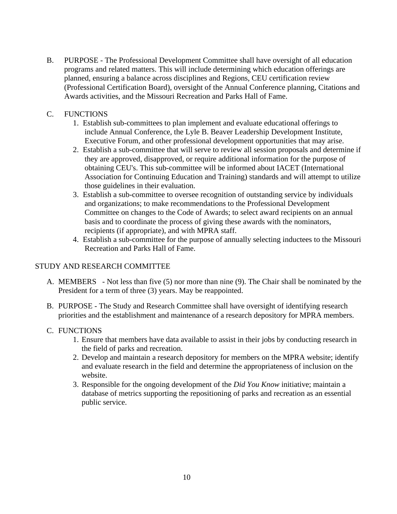B. PURPOSE - The Professional Development Committee shall have oversight of all education programs and related matters. This will include determining which education offerings are planned, ensuring a balance across disciplines and Regions, CEU certification review (Professional Certification Board), oversight of the Annual Conference planning, Citations and Awards activities, and the Missouri Recreation and Parks Hall of Fame.

#### C. FUNCTIONS

- 1. Establish sub-committees to plan implement and evaluate educational offerings to include Annual Conference, the Lyle B. Beaver Leadership Development Institute, Executive Forum, and other professional development opportunities that may arise.
- 2. Establish a sub-committee that will serve to review all session proposals and determine if they are approved, disapproved, or require additional information for the purpose of obtaining CEU's. This sub-committee will be informed about IACET (International Association for Continuing Education and Training) standards and will attempt to utilize those guidelines in their evaluation.
- 3. Establish a sub-committee to oversee recognition of outstanding service by individuals and organizations; to make recommendations to the Professional Development Committee on changes to the Code of Awards; to select award recipients on an annual basis and to coordinate the process of giving these awards with the nominators, recipients (if appropriate), and with MPRA staff.
- 4. Establish a sub-committee for the purpose of annually selecting inductees to the Missouri Recreation and Parks Hall of Fame.

#### STUDY AND RESEARCH COMMITTEE

- A. MEMBERS Not less than five (5) nor more than nine (9). The Chair shall be nominated by the President for a term of three (3) years. May be reappointed.
- B. PURPOSE The Study and Research Committee shall have oversight of identifying research priorities and the establishment and maintenance of a research depository for MPRA members.
- C. FUNCTIONS
	- 1. Ensure that members have data available to assist in their jobs by conducting research in the field of parks and recreation.
	- 2. Develop and maintain a research depository for members on the MPRA website; identify and evaluate research in the field and determine the appropriateness of inclusion on the website.
	- 3. Responsible for the ongoing development of the *Did You Know* initiative; maintain a database of metrics supporting the repositioning of parks and recreation as an essential public service.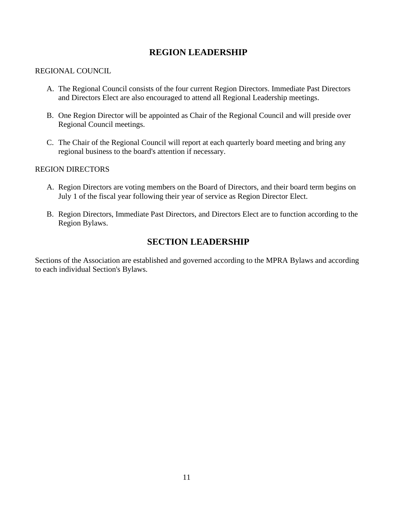## **REGION LEADERSHIP**

#### REGIONAL COUNCIL

- A. The Regional Council consists of the four current Region Directors. Immediate Past Directors and Directors Elect are also encouraged to attend all Regional Leadership meetings.
- B. One Region Director will be appointed as Chair of the Regional Council and will preside over Regional Council meetings.
- C. The Chair of the Regional Council will report at each quarterly board meeting and bring any regional business to the board's attention if necessary.

#### REGION DIRECTORS

- A. Region Directors are voting members on the Board of Directors, and their board term begins on July 1 of the fiscal year following their year of service as Region Director Elect.
- B. Region Directors, Immediate Past Directors, and Directors Elect are to function according to the Region Bylaws.

## **SECTION LEADERSHIP**

Sections of the Association are established and governed according to the MPRA Bylaws and according to each individual Section's Bylaws.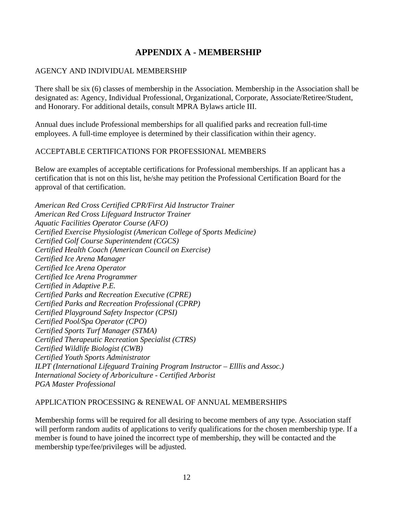# **APPENDIX A - MEMBERSHIP**

#### AGENCY AND INDIVIDUAL MEMBERSHIP

There shall be six (6) classes of membership in the Association. Membership in the Association shall be designated as: Agency, Individual Professional, Organizational, Corporate, Associate/Retiree/Student, and Honorary. For additional details, consult MPRA Bylaws article III.

Annual dues include Professional memberships for all qualified parks and recreation full-time employees. A full-time employee is determined by their classification within their agency.

#### ACCEPTABLE CERTIFICATIONS FOR PROFESSIONAL MEMBERS

Below are examples of acceptable certifications for Professional memberships. If an applicant has a certification that is not on this list, he/she may petition the Professional Certification Board for the approval of that certification.

*American Red Cross Certified CPR/First Aid Instructor Trainer American Red Cross Lifeguard Instructor Trainer Aquatic Facilities Operator Course (AFO) Certified Exercise Physiologist (American College of Sports Medicine) Certified Golf Course Superintendent (CGCS) Certified Health Coach (American Council on Exercise) Certified Ice Arena Manager Certified Ice Arena Operator Certified Ice Arena Programmer Certified in Adaptive P.E. Certified Parks and Recreation Executive (CPRE) Certified Parks and Recreation Professional (CPRP) Certified Playground Safety Inspector (CPSI) Certified Pool/Spa Operator (CPO) Certified Sports Turf Manager (STMA) Certified Therapeutic Recreation Specialist (CTRS) Certified Wildlife Biologist (CWB) Certified Youth Sports Administrator ILPT (International Lifeguard Training Program Instructor – Elllis and Assoc.) International Society of Arboriculture - Certified Arborist PGA Master Professional*

#### APPLICATION PROCESSING & RENEWAL OF ANNUAL MEMBERSHIPS

Membership forms will be required for all desiring to become members of any type. Association staff will perform random audits of applications to verify qualifications for the chosen membership type. If a member is found to have joined the incorrect type of membership, they will be contacted and the membership type/fee/privileges will be adjusted.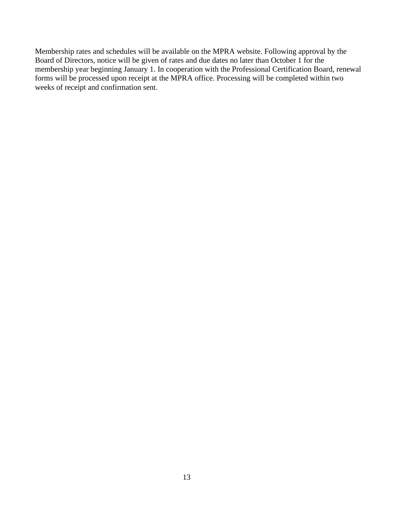Membership rates and schedules will be available on the MPRA website. Following approval by the Board of Directors, notice will be given of rates and due dates no later than October 1 for the membership year beginning January 1. In cooperation with the Professional Certification Board, renewal forms will be processed upon receipt at the MPRA office. Processing will be completed within two weeks of receipt and confirmation sent.